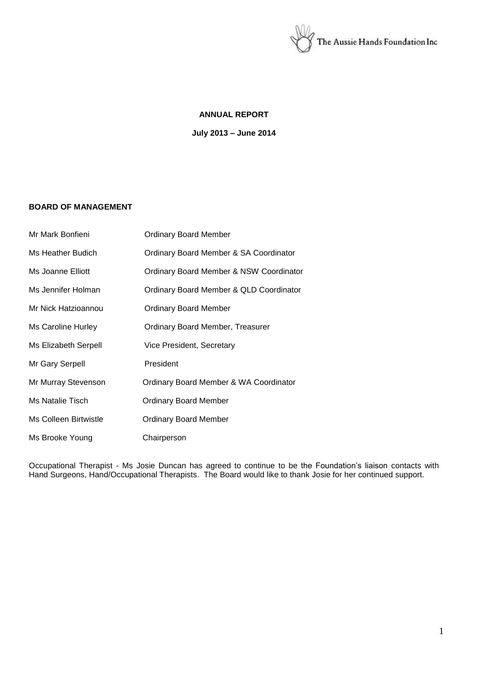

# **ANNUAL REPORT**

**July 2013 – June 2014**

# **BOARD OF MANAGEMENT**

| Mr Mark Bonfieni            | <b>Ordinary Board Member</b>            |
|-----------------------------|-----------------------------------------|
| Ms Heather Budich           | Ordinary Board Member & SA Coordinator  |
| Ms Joanne Elliott           | Ordinary Board Member & NSW Coordinator |
| Ms Jennifer Holman          | Ordinary Board Member & QLD Coordinator |
| Mr Nick Hatzioannou         | <b>Ordinary Board Member</b>            |
| <b>Ms Caroline Hurley</b>   | Ordinary Board Member, Treasurer        |
| <b>Ms Elizabeth Serpell</b> | Vice President, Secretary               |
| Mr Gary Serpell             | President                               |
| Mr Murray Stevenson         | Ordinary Board Member & WA Coordinator  |
| Ms Natalie Tisch            | <b>Ordinary Board Member</b>            |
| Ms Colleen Birtwistle       | <b>Ordinary Board Member</b>            |
| Ms Brooke Young             | Chairperson                             |

Occupational Therapist - Ms Josie Duncan has agreed to continue to be the Foundation's liaison contacts with Hand Surgeons, Hand/Occupational Therapists. The Board would like to thank Josie for her continued support.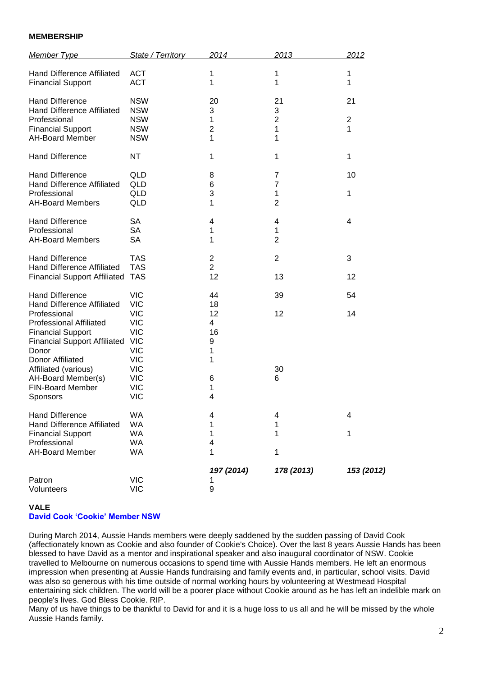## **MEMBERSHIP**

| Member Type                                                                                                                                                                                                                                                                          | State / Territory                                                                                                                                                    | 2014                                                                 | 2013                                       | 2012                                 |
|--------------------------------------------------------------------------------------------------------------------------------------------------------------------------------------------------------------------------------------------------------------------------------------|----------------------------------------------------------------------------------------------------------------------------------------------------------------------|----------------------------------------------------------------------|--------------------------------------------|--------------------------------------|
| Hand Difference Affiliated<br><b>Financial Support</b>                                                                                                                                                                                                                               | <b>ACT</b><br><b>ACT</b>                                                                                                                                             | 1<br>1                                                               | 1<br>1                                     | 1<br>1                               |
| <b>Hand Difference</b><br>Hand Difference Affiliated<br>Professional<br><b>Financial Support</b><br>AH-Board Member                                                                                                                                                                  | <b>NSW</b><br><b>NSW</b><br><b>NSW</b><br><b>NSW</b><br><b>NSW</b>                                                                                                   | 20<br>3<br>1<br>$\overline{2}$<br>1                                  | 21<br>3<br>$\overline{2}$<br>1<br>1        | 21<br>$\overline{2}$<br>$\mathbf{1}$ |
| <b>Hand Difference</b>                                                                                                                                                                                                                                                               | <b>NT</b>                                                                                                                                                            | 1                                                                    | 1                                          | $\mathbf{1}$                         |
| <b>Hand Difference</b><br>Hand Difference Affiliated<br>Professional<br><b>AH-Board Members</b>                                                                                                                                                                                      | QLD<br>QLD<br>QLD<br>QLD                                                                                                                                             | 8<br>6<br>3<br>1                                                     | 7<br>$\overline{7}$<br>1<br>$\overline{2}$ | 10<br>$\mathbf{1}$                   |
| <b>Hand Difference</b><br>Professional<br><b>AH-Board Members</b>                                                                                                                                                                                                                    | <b>SA</b><br><b>SA</b><br><b>SA</b>                                                                                                                                  | 4<br>1<br>1                                                          | 4<br>1<br>$\overline{2}$                   | $\overline{4}$                       |
| <b>Hand Difference</b><br><b>Hand Difference Affiliated</b><br><b>Financial Support Affiliated</b>                                                                                                                                                                                   | <b>TAS</b><br><b>TAS</b><br><b>TAS</b>                                                                                                                               | $\overline{\mathbf{c}}$<br>$\overline{2}$<br>12                      | $\overline{2}$<br>13                       | 3<br>12                              |
| <b>Hand Difference</b><br>Hand Difference Affiliated<br>Professional<br><b>Professional Affiliated</b><br><b>Financial Support</b><br><b>Financial Support Affiliated</b><br>Donor<br>Donor Affiliated<br>Affiliated (various)<br>AH-Board Member(s)<br>FIN-Board Member<br>Sponsors | <b>VIC</b><br><b>VIC</b><br><b>VIC</b><br><b>VIC</b><br><b>VIC</b><br><b>VIC</b><br><b>VIC</b><br><b>VIC</b><br><b>VIC</b><br><b>VIC</b><br><b>VIC</b><br><b>VIC</b> | 44<br>18<br>12<br>$\overline{4}$<br>16<br>9<br>1<br>1<br>6<br>1<br>4 | 39<br>12<br>30<br>6                        | 54<br>14                             |
| <b>Hand Difference</b><br>Hand Difference Affiliated<br><b>Financial Support</b><br>Professional<br><b>AH-Board Member</b>                                                                                                                                                           | WA<br><b>WA</b><br>WA<br><b>WA</b><br><b>WA</b>                                                                                                                      | 4<br>1<br>1<br>$\overline{\mathbf{4}}$<br>1                          | 4<br>1<br>1<br>1                           | 4<br>1                               |
| Patron<br>Volunteers                                                                                                                                                                                                                                                                 | <b>VIC</b><br><b>VIC</b>                                                                                                                                             | 197 (2014)<br>1<br>9                                                 | 178 (2013)                                 | 153 (2012)                           |

# **VALE**

### **David Cook 'Cookie' Member NSW**

During March 2014, Aussie Hands members were deeply saddened by the sudden passing of David Cook (affectionately known as Cookie and also founder of Cookie's Choice). Over the last 8 years Aussie Hands has been blessed to have David as a mentor and inspirational speaker and also inaugural coordinator of NSW. Cookie travelled to Melbourne on numerous occasions to spend time with Aussie Hands members. He left an enormous impression when presenting at Aussie Hands fundraising and family events and, in particular, school visits. David was also so generous with his time outside of normal working hours by volunteering at Westmead Hospital entertaining sick children. The world will be a poorer place without Cookie around as he has left an indelible mark on people's lives. God Bless Cookie. RIP.

Many of us have things to be thankful to David for and it is a huge loss to us all and he will be missed by the whole Aussie Hands family.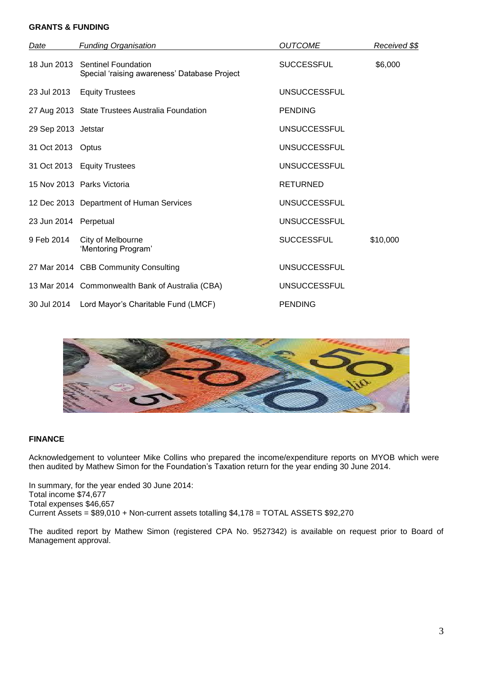# **GRANTS & FUNDING**

| Date                  | <b>Funding Organisation</b>                                                     | <i>OUTCOME</i>      | Received \$\$ |
|-----------------------|---------------------------------------------------------------------------------|---------------------|---------------|
|                       | 18 Jun 2013 Sentinel Foundation<br>Special 'raising awareness' Database Project | <b>SUCCESSFUL</b>   | \$6,000       |
|                       | 23 Jul 2013 Equity Trustees                                                     | <b>UNSUCCESSFUL</b> |               |
|                       | 27 Aug 2013 State Trustees Australia Foundation                                 | <b>PENDING</b>      |               |
| 29 Sep 2013 Jetstar   |                                                                                 | <b>UNSUCCESSFUL</b> |               |
| 31 Oct 2013 Optus     |                                                                                 | <b>UNSUCCESSFUL</b> |               |
|                       | 31 Oct 2013 Equity Trustees                                                     | <b>UNSUCCESSFUL</b> |               |
|                       | 15 Nov 2013 Parks Victoria                                                      | <b>RETURNED</b>     |               |
|                       | 12 Dec 2013 Department of Human Services                                        | <b>UNSUCCESSFUL</b> |               |
| 23 Jun 2014 Perpetual |                                                                                 | <b>UNSUCCESSFUL</b> |               |
| 9 Feb 2014            | City of Melbourne<br>'Mentoring Program'                                        | <b>SUCCESSFUL</b>   | \$10,000      |
|                       | 27 Mar 2014 CBB Community Consulting                                            | <b>UNSUCCESSFUL</b> |               |
|                       | 13 Mar 2014 Commonwealth Bank of Australia (CBA)                                | <b>UNSUCCESSFUL</b> |               |
|                       | 30 Jul 2014 Lord Mayor's Charitable Fund (LMCF)                                 | <b>PENDING</b>      |               |



# **FINANCE**

Acknowledgement to volunteer Mike Collins who prepared the income/expenditure reports on MYOB which were then audited by Mathew Simon for the Foundation's Taxation return for the year ending 30 June 2014.

In summary, for the year ended 30 June 2014: Total income \$74,677 Total expenses \$46,657 Current Assets = \$89,010 + Non-current assets totalling \$4,178 = TOTAL ASSETS \$92,270

The audited report by Mathew Simon (registered CPA No. 9527342) is available on request prior to Board of Management approval.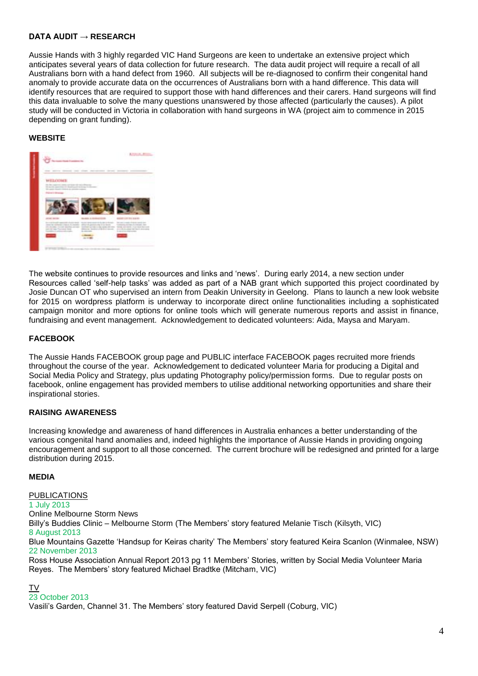# **DATA AUDIT → RESEARCH**

Aussie Hands with 3 highly regarded VIC Hand Surgeons are keen to undertake an extensive project which anticipates several years of data collection for future research. The data audit project will require a recall of all Australians born with a hand defect from 1960. All subjects will be re-diagnosed to confirm their congenital hand anomaly to provide accurate data on the occurrences of Australians born with a hand difference. This data will identify resources that are required to support those with hand differences and their carers. Hand surgeons will find this data invaluable to solve the many questions unanswered by those affected (particularly the causes). A pilot study will be conducted in Victoria in collaboration with hand surgeons in WA (project aim to commence in 2015 depending on grant funding).

# **WEBSITE**



The website continues to provide resources and links and 'news'. During early 2014, a new section under Resources called 'self-help tasks' was added as part of a NAB grant which supported this project coordinated by Josie Duncan OT who supervised an intern from Deakin University in Geelong. Plans to launch a new look website for 2015 on wordpress platform is underway to incorporate direct online functionalities including a sophisticated campaign monitor and more options for online tools which will generate numerous reports and assist in finance, fundraising and event management. Acknowledgement to dedicated volunteers: Aida, Maysa and Maryam.

# **FACEBOOK**

The Aussie Hands FACEBOOK group page and PUBLIC interface FACEBOOK pages recruited more friends throughout the course of the year. Acknowledgement to dedicated volunteer Maria for producing a Digital and Social Media Policy and Strategy, plus updating Photography policy/permission forms. Due to regular posts on facebook, online engagement has provided members to utilise additional networking opportunities and share their inspirational stories.

# **RAISING AWARENESS**

Increasing knowledge and awareness of hand differences in Australia enhances a better understanding of the various congenital hand anomalies and, indeed highlights the importance of Aussie Hands in providing ongoing encouragement and support to all those concerned. The current brochure will be redesigned and printed for a large distribution during 2015.

# **MEDIA**

PUBLICATIONS 1 July 2013 Online Melbourne Storm News Billy's Buddies Clinic – Melbourne Storm (The Members' story featured Melanie Tisch (Kilsyth, VIC) 8 August 2013 Blue Mountains Gazette 'Handsup for Keiras charity' The Members' story featured Keira Scanlon (Winmalee, NSW) 22 November 2013 Ross House Association Annual Report 2013 pg 11 Members' Stories, written by Social Media Volunteer Maria Reyes. The Members' story featured Michael Bradtke (Mitcham, VIC)

### TV

# 23 October 2013

Vasili's Garden, Channel 31. The Members' story featured David Serpell (Coburg, VIC)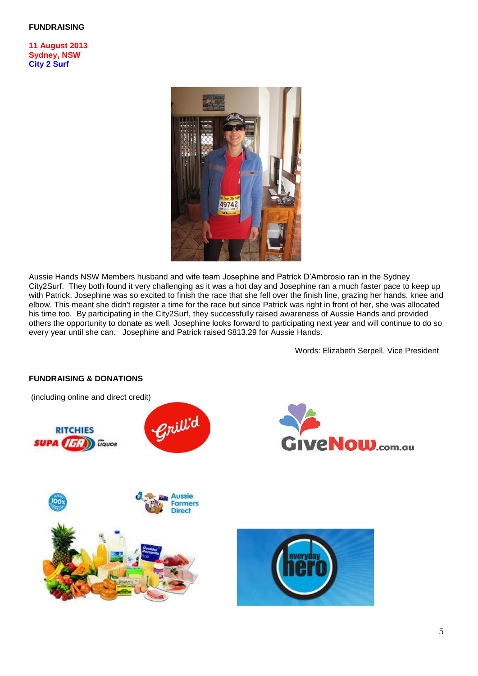### **FUNDRAISING**

**11 August 2013 Sydney, NSW City 2 Surf**



Aussie Hands NSW Members husband and wife team Josephine and Patrick D'Ambrosio ran in the Sydney City2Surf. They both found it very challenging as it was a hot day and Josephine ran a much faster pace to keep up with Patrick. Josephine was so excited to finish the race that she fell over the finish line, grazing her hands, knee and elbow. This meant she didn't register a time for the race but since Patrick was right in front of her, she was allocated his time too. By participating in the City2Surf, they successfully raised awareness of Aussie Hands and provided others the opportunity to donate as well. Josephine looks forward to participating next year and will continue to do so every year until she can. Josephine and Patrick raised \$813.29 for Aussie Hands.

Words: Elizabeth Serpell, Vice President



# **FUNDRAISING & DONATIONS**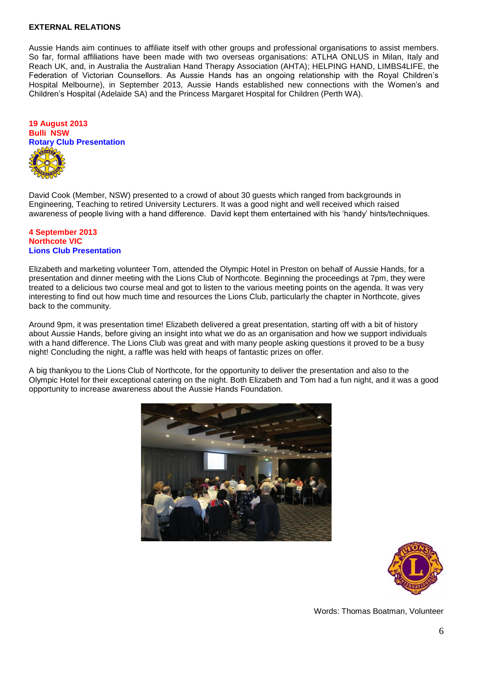### **EXTERNAL RELATIONS**

Aussie Hands aim continues to affiliate itself with other groups and professional organisations to assist members. So far, formal affiliations have been made with two overseas organisations: ATLHA ONLUS in Milan, Italy and Reach UK, and, in Australia the Australian Hand Therapy Association (AHTA); HELPING HAND, LIMBS4LIFE, the Federation of Victorian Counsellors. As Aussie Hands has an ongoing relationship with the Royal Children's Hospital Melbourne), in September 2013, Aussie Hands established new connections with the Women's and Children's Hospital (Adelaide SA) and the Princess Margaret Hospital for Children (Perth WA).



David Cook (Member, NSW) presented to a crowd of about 30 guests which ranged from backgrounds in Engineering, Teaching to retired University Lecturers. It was a good night and well received which raised awareness of people living with a hand difference. David kept them entertained with his 'handy' hints/techniques.

#### **4 September 2013 Northcote VIC Lions Club Presentation**

Elizabeth and marketing volunteer Tom, attended the Olympic Hotel in Preston on behalf of Aussie Hands, for a presentation and dinner meeting with the Lions Club of Northcote. Beginning the proceedings at 7pm, they were treated to a delicious two course meal and got to listen to the various meeting points on the agenda. It was very interesting to find out how much time and resources the Lions Club, particularly the chapter in Northcote, gives back to the community.

Around 9pm, it was presentation time! Elizabeth delivered a great presentation, starting off with a bit of history about Aussie Hands, before giving an insight into what we do as an organisation and how we support individuals with a hand difference. The Lions Club was great and with many people asking questions it proved to be a busy night! Concluding the night, a raffle was held with heaps of fantastic prizes on offer.

A big thankyou to the Lions Club of Northcote, for the opportunity to deliver the presentation and also to the Olympic Hotel for their exceptional catering on the night. Both Elizabeth and Tom had a fun night, and it was a good opportunity to increase awareness about the Aussie Hands Foundation.





Words: Thomas Boatman, Volunteer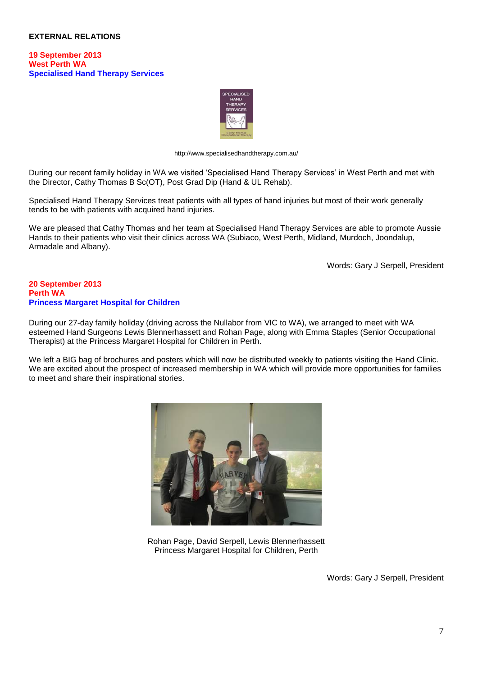### **EXTERNAL RELATIONS**

#### **19 September 2013 West Perth WA Specialised Hand Therapy Services**



<http://www.specialisedhandtherapy.com.au/>

During our recent family holiday in WA we visited 'Specialised Hand Therapy Services' in West Perth and met with the Director, Cathy Thomas B Sc(OT), Post Grad Dip (Hand & UL Rehab).

Specialised Hand Therapy Services treat patients with all types of hand injuries but most of their work generally tends to be with patients with acquired hand injuries.

We are pleased that Cathy Thomas and her team at Specialised Hand Therapy Services are able to promote Aussie Hands to their patients who visit their clinics across WA (Subiaco, West Perth, Midland, Murdoch, Joondalup, Armadale and Albany).

Words: Gary J Serpell, President

### **20 September 2013 Perth WA Princess Margaret Hospital for Children**

During our 27-day family holiday (driving across the Nullabor from VIC to WA), we arranged to meet with WA esteemed Hand Surgeons Lewis Blennerhassett and Rohan Page, along with Emma Staples (Senior Occupational Therapist) at the Princess Margaret Hospital for Children in Perth.

We left a BIG bag of brochures and posters which will now be distributed weekly to patients visiting the Hand Clinic. We are excited about the prospect of increased membership in WA which will provide more opportunities for families to meet and share their inspirational stories.



Rohan Page, David Serpell, Lewis Blennerhassett Princess Margaret Hospital for Children, Perth

Words: Gary J Serpell, President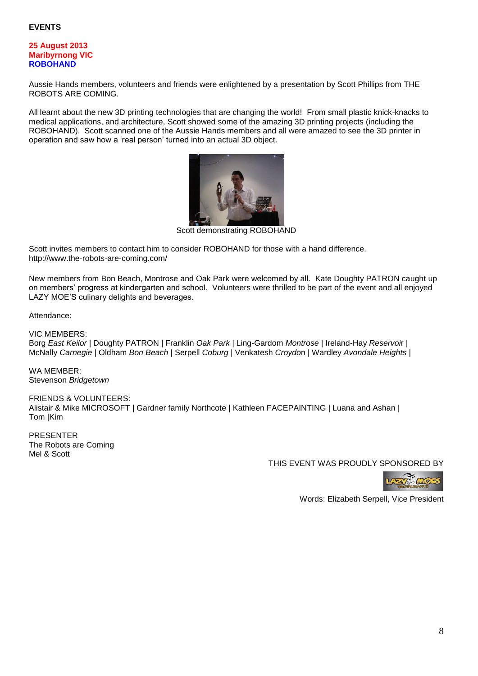### **25 August 2013 Maribyrnong VIC ROBOHAND**

Aussie Hands members, volunteers and friends were enlightened by a presentation by Scott Phillips from THE ROBOTS ARE COMING.

All learnt about the new 3D printing technologies that are changing the world! From small plastic knick-knacks to medical applications, and architecture, Scott showed some of the amazing 3D printing projects (including the ROBOHAND). Scott scanned one of the Aussie Hands members and all were amazed to see the 3D printer in operation and saw how a 'real person' turned into an actual 3D object.



Scott demonstrating ROBOHAND

Scott invites members to contact him to consider ROBOHAND for those with a hand difference. <http://www.the-robots-are-coming.com/>

New members from Bon Beach, Montrose and Oak Park were welcomed by all. Kate Doughty PATRON caught up on members' progress at kindergarten and school. Volunteers were thrilled to be part of the event and all enjoyed LAZY MOE'S culinary delights and beverages.

Attendance:

VIC MEMBERS:

Borg *East Keilor* | Doughty PATRON | Franklin *Oak Park* | Ling-Gardom *Montrose* | Ireland-Hay *Reservoi*r | McNally *Carnegie* | Oldham *Bon Beach* | Serpell *Coburg* | Venkatesh *Croydo*n | Wardley *Avondale Heights* |

WA MEMBER: Stevenson *Bridgetown*

FRIENDS & VOLUNTEERS: Alistair & Mike MICROSOFT | Gardner family Northcote | Kathleen FACEPAINTING | Luana and Ashan | Tom |Kim

PRESENTER The Robots are Coming Mel & Scott

THIS EVENT WAS PROUDLY SPONSORED BY



Words: Elizabeth Serpell, Vice President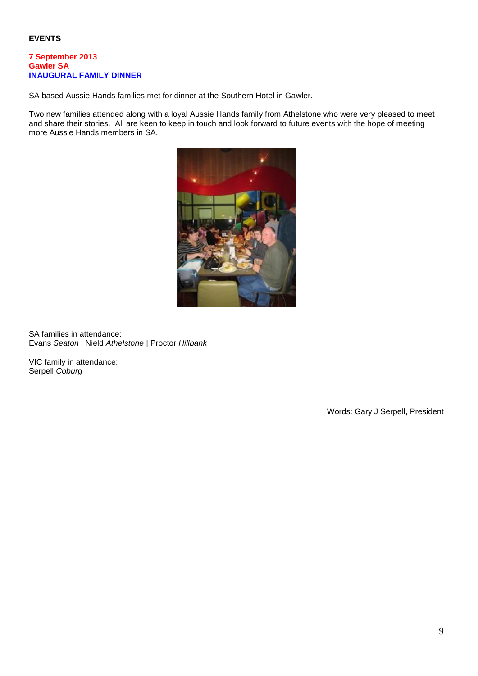### **7 September 2013 Gawler SA INAUGURAL FAMILY DINNER**

SA based Aussie Hands families met for dinner at the Southern Hotel in Gawler.

Two new families attended along with a loyal Aussie Hands family from Athelstone who were very pleased to meet and share their stories. All are keen to keep in touch and look forward to future events with the hope of meeting more Aussie Hands members in SA.



SA families in attendance: Evans *Seaton* | Nield *Athelstone* | Proctor *Hillbank* 

VIC family in attendance: Serpell *Coburg*

Words: Gary J Serpell, President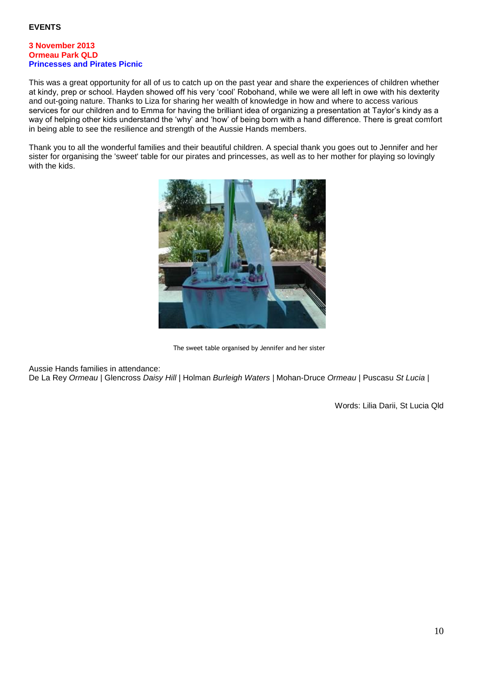## **3 November 2013 Ormeau Park QLD Princesses and Pirates Picnic**

This was a great opportunity for all of us to catch up on the past year and share the experiences of children whether at kindy, prep or school. Hayden showed off his very 'cool' Robohand, while we were all left in owe with his dexterity and out-going nature. Thanks to Liza for sharing her wealth of knowledge in how and where to access various services for our children and to Emma for having the brilliant idea of organizing a presentation at Taylor's kindy as a way of helping other kids understand the 'why' and 'how' of being born with a hand difference. There is great comfort in being able to see the resilience and strength of the Aussie Hands members.

Thank you to all the wonderful families and their beautiful children. A special thank you goes out to Jennifer and her sister for organising the 'sweet' table for our pirates and princesses, as well as to her mother for playing so lovingly with the kids.



The sweet table organised by Jennifer and her sister

Aussie Hands families in attendance:

De La Rey *Ormeau* | Glencross *Daisy Hill* | Holman *Burleigh Waters* | Mohan-Druce *Ormeau* | Puscasu *St Lucia* |

Words: Lilia Darii, St Lucia Qld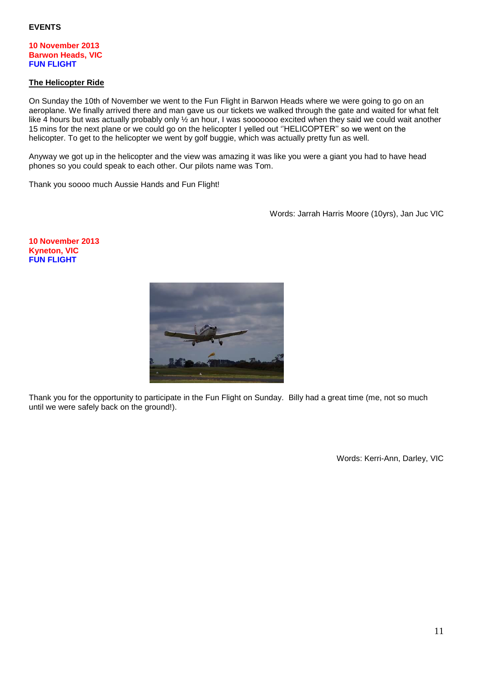### **10 November 2013 Barwon Heads, VIC FUN FLIGHT**

## **The Helicopter Ride**

On Sunday the 10th of November we went to the Fun Flight in Barwon Heads where we were going to go on an aeroplane. We finally arrived there and man gave us our tickets we walked through the gate and waited for what felt like 4 hours but was actually probably only  $\frac{1}{2}$  an hour, I was sooooooo excited when they said we could wait another 15 mins for the next plane or we could go on the helicopter I yelled out ''HELICOPTER'' so we went on the helicopter. To get to the helicopter we went by golf buggie, which was actually pretty fun as well.

Anyway we got up in the helicopter and the view was amazing it was like you were a giant you had to have head phones so you could speak to each other. Our pilots name was Tom.

Thank you soooo much Aussie Hands and Fun Flight!

Words: Jarrah Harris Moore (10yrs), Jan Juc VIC

#### **10 November 2013 Kyneton, VIC FUN FLIGHT**



Thank you for the opportunity to participate in the Fun Flight on Sunday. Billy had a great time (me, not so much until we were safely back on the ground!).

Words: Kerri-Ann, Darley, VIC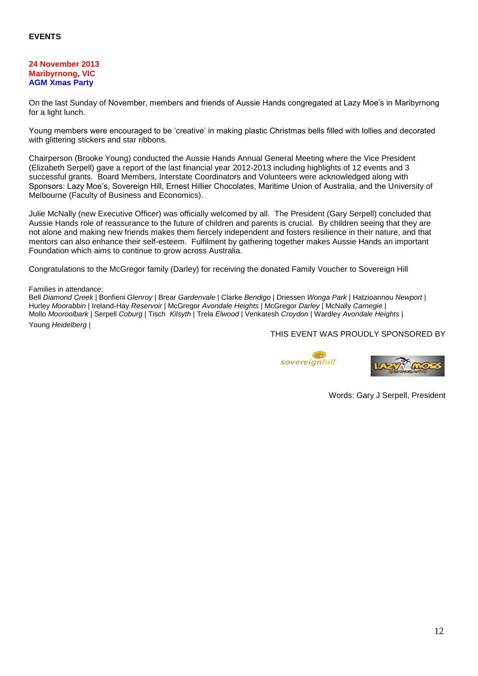### **24 November 2013 Maribyrnong, VIC AGM Xmas Party**

On the last Sunday of November, members and friends of Aussie Hands congregated at Lazy Moe's in Maribyrnong for a light lunch.

Young members were encouraged to be 'creative' in making plastic Christmas bells filled with lollies and decorated with glittering stickers and star ribbons.

Chairperson (Brooke Young) conducted the Aussie Hands Annual General Meeting where the Vice President (Elizabeth Serpell) gave a report of the last financial year 2012-2013 including highlights of 12 events and 3 successful grants. Board Members, Interstate Coordinators and Volunteers were acknowledged along with Sponsors: Lazy Moe's, Sovereign Hill, Ernest Hillier Chocolates, Maritime Union of Australia, and the University of Melbourne (Faculty of Business and Economics).

Julie McNally (new Executive Officer) was officially welcomed by all. The President (Gary Serpell) concluded that Aussie Hands role of reassurance to the future of children and parents is crucial. By children seeing that they are not alone and making new friends makes them fiercely independent and fosters resilience in their nature, and that mentors can also enhance their self-esteem. Fulfilment by gathering together makes Aussie Hands an important Foundation which aims to continue to grow across Australia.

Congratulations to the McGregor family (Darley) for receiving the donated Family Voucher to Sovereign Hill

#### Families in attendance:

Bell *Diamond Creek* | Bonfieni *Glenroy* | Brear *Gardenvale* | Clarke *Bendigo* | Driessen *Wonga Park* | Hatzioannou *Newport* | Hurley *Moorabbin* | Ireland-Hay *Reservoir* | McGregor *Avondale Heights* | McGregor *Darley* | McNally *Carnegie* | Mollo *Mooroolbark* | Serpell *Coburg* | Tisch *Kilsyth* | Trela *Elwood* | Venkatesh *Croydon* | Wardley *Avondale Heights* | Young *Heidelberg* |

THIS EVENT WAS PROUDLY SPONSORED BY





Words: Gary J Serpell, President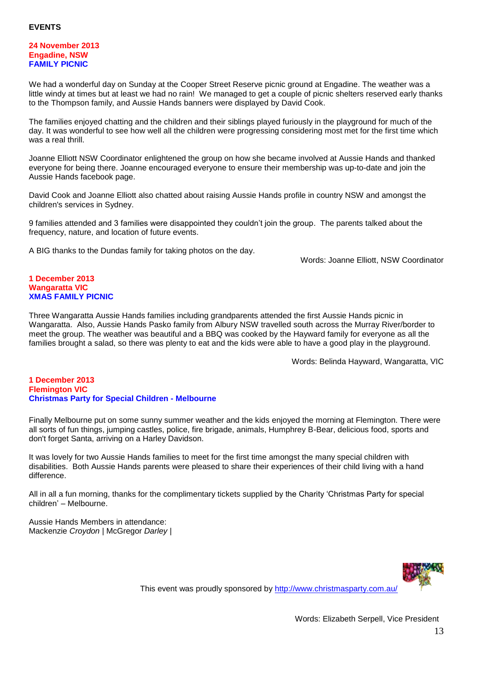### **24 November 2013 Engadine, NSW FAMILY PICNIC**

We had a wonderful day on Sunday at the Cooper Street Reserve picnic ground at Engadine. The weather was a little windy at times but at least we had no rain! We managed to get a couple of picnic shelters reserved early thanks to the Thompson family, and Aussie Hands banners were displayed by David Cook.

The families enjoyed chatting and the children and their siblings played furiously in the playground for much of the day. It was wonderful to see how well all the children were progressing considering most met for the first time which was a real thrill.

Joanne Elliott NSW Coordinator enlightened the group on how she became involved at Aussie Hands and thanked everyone for being there. Joanne encouraged everyone to ensure their membership was up-to-date and join the Aussie Hands facebook page.

David Cook and Joanne Elliott also chatted about raising Aussie Hands profile in country NSW and amongst the children's services in Sydney.

9 families attended and 3 families were disappointed they couldn't join the group. The parents talked about the frequency, nature, and location of future events.

A BIG thanks to the Dundas family for taking photos on the day.

Words: Joanne Elliott, NSW Coordinator

## **1 December 2013 Wangaratta VIC XMAS FAMILY PICNIC**

Three Wangaratta Aussie Hands families including grandparents attended the first Aussie Hands picnic in Wangaratta. Also, Aussie Hands Pasko family from Albury NSW travelled south across the Murray River/border to meet the group. The weather was beautiful and a BBQ was cooked by the Hayward family for everyone as all the families brought a salad, so there was plenty to eat and the kids were able to have a good play in the playground.

Words: Belinda Hayward, Wangaratta, VIC

### **1 December 2013 Flemington VIC Christmas Party for Special Children - Melbourne**

Finally Melbourne put on some sunny summer weather and the kids enjoyed the morning at Flemington. There were all sorts of fun things, jumping castles, police, fire brigade, animals, Humphrey B-Bear, delicious food, sports and don't forget Santa, arriving on a Harley Davidson.

It was lovely for two Aussie Hands families to meet for the first time amongst the many special children with disabilities. Both Aussie Hands parents were pleased to share their experiences of their child living with a hand difference.

All in all a fun morning, thanks for the complimentary tickets supplied by the Charity 'Christmas Party for special children' – Melbourne.

Aussie Hands Members in attendance: Mackenzie *Croydon* | McGregor *Darley* |



This event was proudly sponsored by<http://www.christmasparty.com.au/>

Words: Elizabeth Serpell, Vice President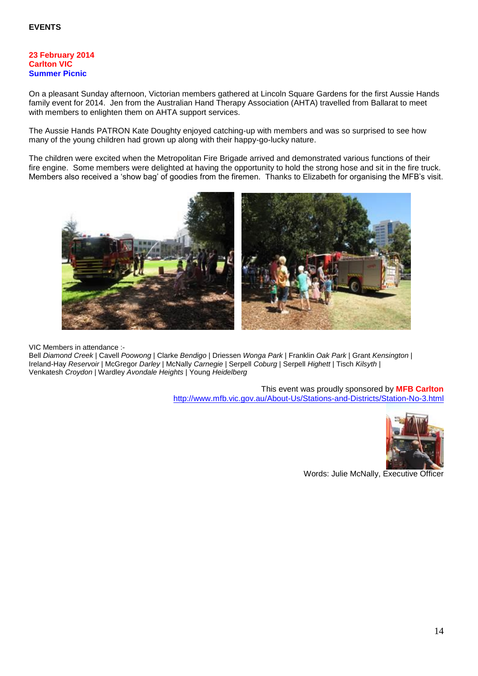### **23 February 2014 Carlton VIC Summer Picnic**

On a pleasant Sunday afternoon, Victorian members gathered at Lincoln Square Gardens for the first Aussie Hands family event for 2014. Jen from the Australian Hand Therapy Association (AHTA) travelled from Ballarat to meet with members to enlighten them on AHTA support services.

The Aussie Hands PATRON Kate Doughty enjoyed catching-up with members and was so surprised to see how many of the young children had grown up along with their happy-go-lucky nature.

The children were excited when the Metropolitan Fire Brigade arrived and demonstrated various functions of their fire engine. Some members were delighted at having the opportunity to hold the strong hose and sit in the fire truck. Members also received a 'show bag' of goodies from the firemen. Thanks to Elizabeth for organising the MFB's visit.



VIC Members in attendance :-

Bell *Diamond Creek* | Cavell *Poowong* | Clarke *Bendigo* | Driessen *Wonga Park* | Franklin *Oak Park* | Grant *Kensington* | Ireland-Hay *Reservoir* | McGregor *Darley* | McNally *Carnegie* | Serpell *Coburg* | Serpell *Highett* | Tisch *Kilsyth* | Venkatesh *Croydon* | Wardley *Avondale Heights* | Young *Heidelberg*

> This event was proudly sponsored by **MFB Carlton** <http://www.mfb.vic.gov.au/About-Us/Stations-and-Districts/Station-No-3.html>



Words: Julie McNally, Executive Officer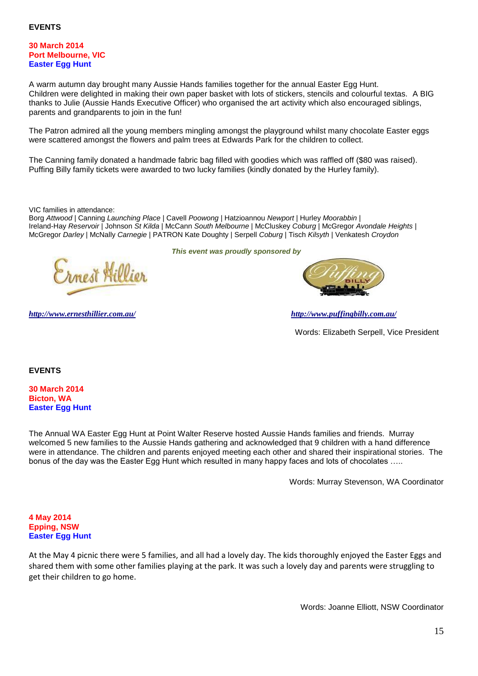### **30 March 2014 Port Melbourne, VIC Easter Egg Hunt**

A warm autumn day brought many Aussie Hands families together for the annual Easter Egg Hunt. Children were delighted in making their own paper basket with lots of stickers, stencils and colourful textas. A BIG thanks to Julie (Aussie Hands Executive Officer) who organised the art activity which also encouraged siblings, parents and grandparents to join in the fun!

The Patron admired all the young members mingling amongst the playground whilst many chocolate Easter eggs were scattered amongst the flowers and palm trees at Edwards Park for the children to collect.

The Canning family donated a handmade fabric bag filled with goodies which was raffled off (\$80 was raised). Puffing Billy family tickets were awarded to two lucky families (kindly donated by the Hurley family).

VIC families in attendance:

Borg *Attwood* | Canning *Launching Place* | Cavell *Poowong* | Hatzioannou *Newport* | Hurley *Moorabbin* | Ireland-Hay *Reservoir* | Johnson *St Kilda* | McCann *South Melbourne* | McCluskey *Coburg* | McGregor *Avondale Heights* | McGregor *Darley* | McNally *Carnegie* | PATRON Kate Doughty | Serpell *Coburg* | Tisch *Kilsyth* | Venkatesh *Croydon*

*This event was proudly sponsored by*

*<http://www.ernesthillier.com.au/> <http://www.puffingbilly.com.au/>*

Words: Elizabeth Serpell, Vice President

**EVENTS** 

**30 March 2014 Bicton, WA Easter Egg Hunt**

The Annual WA Easter Egg Hunt at Point Walter Reserve hosted Aussie Hands families and friends. Murray welcomed 5 new families to the Aussie Hands gathering and acknowledged that 9 children with a hand difference were in attendance. The children and parents enjoyed meeting each other and shared their inspirational stories. The bonus of the day was the Easter Egg Hunt which resulted in many happy faces and lots of chocolates …..

Words: Murray Stevenson, WA Coordinator

### **4 May 2014 Epping, NSW Easter Egg Hunt**

At the May 4 picnic there were 5 families, and all had a lovely day. The kids thoroughly enjoyed the Easter Eggs and shared them with some other families playing at the park. It was such a lovely day and parents were struggling to get their children to go home.

Words: Joanne Elliott, NSW Coordinator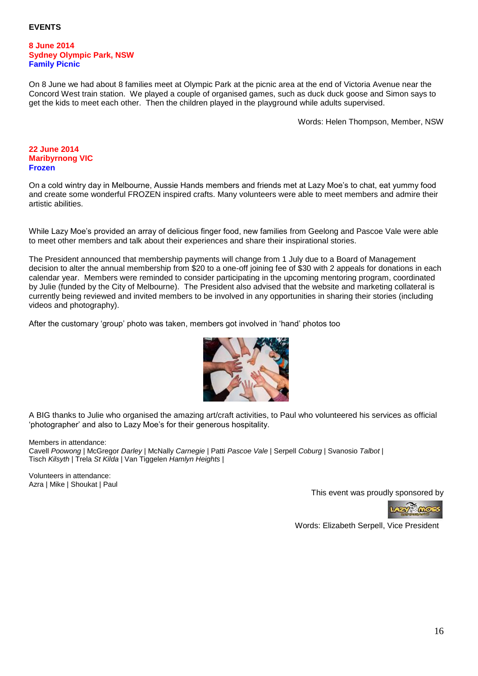#### **8 June 2014 Sydney Olympic Park, NSW Family Picnic**

On 8 June we had about 8 families meet at Olympic Park at the picnic area at the end of Victoria Avenue near the Concord West train station. We played a couple of organised games, such as duck duck goose and Simon says to get the kids to meet each other. Then the children played in the playground while adults supervised.

Words: Helen Thompson, Member, NSW

## **22 June 2014 Maribyrnong VIC Frozen**

On a cold wintry day in Melbourne, Aussie Hands members and friends met at Lazy Moe's to chat, eat yummy food and create some wonderful FROZEN inspired crafts. Many volunteers were able to meet members and admire their artistic abilities.

While Lazy Moe's provided an array of delicious finger food, new families from Geelong and Pascoe Vale were able to meet other members and talk about their experiences and share their inspirational stories.

The President announced that membership payments will change from 1 July due to a Board of Management decision to alter the annual membership from \$20 to a one-off joining fee of \$30 with 2 appeals for donations in each calendar year. Members were reminded to consider participating in the upcoming mentoring program, coordinated by Julie (funded by the City of Melbourne). The President also advised that the website and marketing collateral is currently being reviewed and invited members to be involved in any opportunities in sharing their stories (including videos and photography).

After the customary 'group' photo was taken, members got involved in 'hand' photos too



A BIG thanks to Julie who organised the amazing art/craft activities, to Paul who volunteered his services as official 'photographer' and also to Lazy Moe's for their generous hospitality.

Members in attendance:

Cavell *Poowong* | McGregor *Darley* | McNally *Carnegie* | Patti *Pascoe Vale* | Serpell *Coburg* | Svanosio *Talbot* | Tisch *Kilsyth* | Trela *St Kilda* | Van Tiggelen *Hamlyn Heights* |

Volunteers in attendance: Azra | Mike | Shoukat | Paul

This event was proudly sponsored by



Words: Elizabeth Serpell, Vice President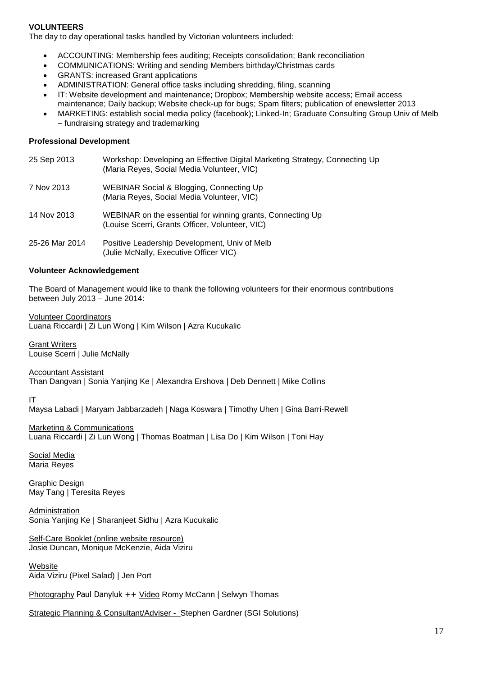# **VOLUNTEERS**

The day to day operational tasks handled by Victorian volunteers included:

- ACCOUNTING: Membership fees auditing; Receipts consolidation; Bank reconciliation
- COMMUNICATIONS: Writing and sending Members birthday/Christmas cards
- GRANTS: increased Grant applications
- ADMINISTRATION: General office tasks including shredding, filing, scanning
- IT: Website development and maintenance; Dropbox; Membership website access; Email access maintenance; Daily backup; Website check-up for bugs; Spam filters; publication of enewsletter 2013
- MARKETING: establish social media policy (facebook); Linked-In; Graduate Consulting Group Univ of Melb – fundraising strategy and trademarking

### **Professional Development**

25 Sep 2013 Workshop: Developing an Effective Digital Marketing Strategy, Connecting Up (Maria Reyes, Social Media Volunteer, VIC) 7 Nov 2013 WEBINAR Social & Blogging, Connecting Up (Maria Reyes, Social Media Volunteer, VIC) 14 Nov 2013 WEBINAR on the essential for winning grants, Connecting Up (Louise Scerri, Grants Officer, Volunteer, VIC) 25-26 Mar 2014 Positive Leadership Development, Univ of Melb (Julie McNally, Executive Officer VIC)

### **Volunteer Acknowledgement**

The Board of Management would like to thank the following volunteers for their enormous contributions between July 2013 – June 2014:

Volunteer Coordinators

Luana Riccardi | Zi Lun Wong | Kim Wilson | Azra Kucukalic

Grant Writers Louise Scerri | Julie McNally

Accountant Assistant Than Dangvan | Sonia Yanjing Ke | Alexandra Ershova | Deb Dennett | Mike Collins

IT

Maysa Labadi | Maryam Jabbarzadeh | Naga Koswara | Timothy Uhen | Gina Barri-Rewell

Marketing & Communications Luana Riccardi | Zi Lun Wong | Thomas Boatman | Lisa Do | Kim Wilson | Toni Hay

Social Media Maria Reyes

Graphic Design May Tang | Teresita Reyes

**Administration** Sonia Yanjing Ke | Sharanjeet Sidhu | Azra Kucukalic

Self-Care Booklet (online website resource) Josie Duncan, Monique McKenzie, Aida Viziru

**Website** Aida Viziru (Pixel Salad) | Jen Port

Photography Paul Danyluk ++ Video Romy McCann | Selwyn Thomas

Strategic Planning & Consultant/Adviser - Stephen Gardner (SGI Solutions)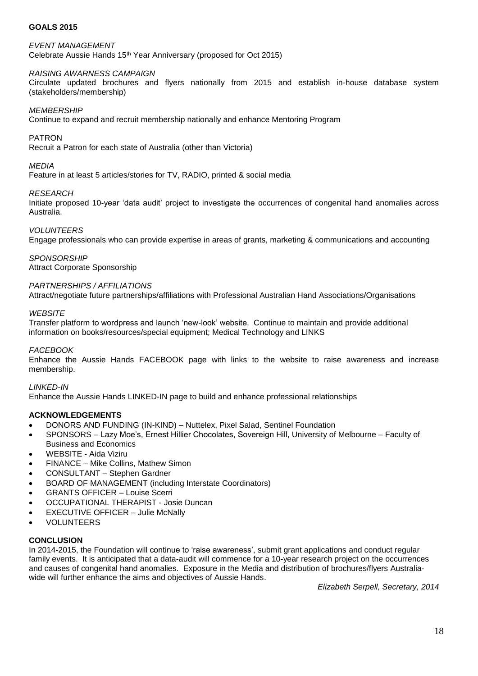# **GOALS 2015**

*EVENT MANAGEMENT* Celebrate Aussie Hands 15<sup>th</sup> Year Anniversary (proposed for Oct 2015)

## *RAISING AWARNESS CAMPAIGN*

Circulate updated brochures and flyers nationally from 2015 and establish in-house database system (stakeholders/membership)

### *MEMBERSHIP*

Continue to expand and recruit membership nationally and enhance Mentoring Program

### PATRON

Recruit a Patron for each state of Australia (other than Victoria)

### *MEDIA*

Feature in at least 5 articles/stories for TV, RADIO, printed & social media

### *RESEARCH*

Initiate proposed 10-year 'data audit' project to investigate the occurrences of congenital hand anomalies across Australia.

### *VOLUNTEERS*

Engage professionals who can provide expertise in areas of grants, marketing & communications and accounting

*SPONSORSHIP* Attract Corporate Sponsorship

### *PARTNERSHIPS / AFFILIATIONS*

Attract/negotiate future partnerships/affiliations with Professional Australian Hand Associations/Organisations

### *WEBSITE*

Transfer platform to wordpress and launch 'new-look' website. Continue to maintain and provide additional information on books/resources/special equipment; Medical Technology and LINKS

### *FACEBOOK*

Enhance the Aussie Hands FACEBOOK page with links to the website to raise awareness and increase membership.

### *LINKED-IN*

Enhance the Aussie Hands LINKED-IN page to build and enhance professional relationships

# **ACKNOWLEDGEMENTS**

- DONORS AND FUNDING (IN-KIND) Nuttelex, Pixel Salad, Sentinel Foundation
- SPONSORS Lazy Moe's, Ernest Hillier Chocolates, Sovereign Hill, University of Melbourne Faculty of Business and Economics
- WEBSITE Aida Viziru
- FINANCE Mike Collins, Mathew Simon
- CONSULTANT Stephen Gardner
- BOARD OF MANAGEMENT (including Interstate Coordinators)
- GRANTS OFFICER Louise Scerri
- OCCUPATIONAL THERAPIST Josie Duncan
- EXECUTIVE OFFICER Julie McNally
- VOLUNTEERS

### **CONCLUSION**

In 2014-2015, the Foundation will continue to 'raise awareness', submit grant applications and conduct regular family events. It is anticipated that a data-audit will commence for a 10-year research project on the occurrences and causes of congenital hand anomalies. Exposure in the Media and distribution of brochures/flyers Australiawide will further enhance the aims and objectives of Aussie Hands.

*Elizabeth Serpell, Secretary, 2014*